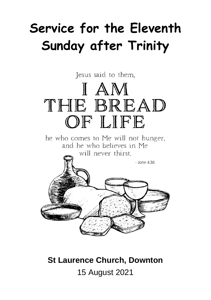# **Service for the Eleventh Sunday after Trinity**

Jesus said to them,

# IAM THE BREAD OF LIFE

he who comes to Me will not hunger, and he who believes in Me will never thirst.



## **St Laurence Church, Downton** 15 August 2021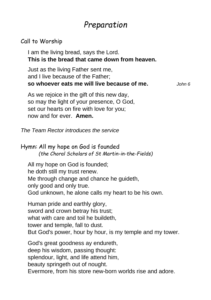## *Preparation*

#### Call to Worship

I am the living bread, says the Lord. **This is the bread that came down from heaven.**

Just as the living Father sent me, and I live because of the Father; **so whoever eats me will live because of me.** *John 6*

As we rejoice in the gift of this new day, so may the light of your presence, O God, set our hearts on fire with love for you; now and for ever. **Amen.**

*The Team Rector introduces the service*

#### Hymn: All my hope on God is founded *(the Choral Scholars of St Martin-in-the-Fields)*

All my hope on God is founded; he doth still my trust renew. Me through change and chance he guideth, only good and only true. God unknown, he alone calls my heart to be his own.

Human pride and earthly glory, sword and crown betray his trust; what with care and toil he buildeth. tower and temple, fall to dust. But God's power, hour by hour, is my temple and my tower.

God's great goodness ay endureth, deep his wisdom, passing thought: splendour, light, and life attend him, beauty springeth out of nought. Evermore, from his store new-born worlds rise and adore.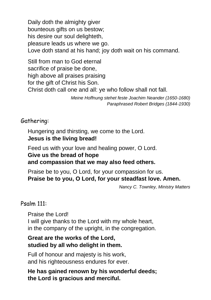Daily doth the almighty giver bounteous gifts on us bestow; his desire our soul delighteth, pleasure leads us where we go. Love doth stand at his hand; joy doth wait on his command.

Still from man to God eternal sacrifice of praise be done, high above all praises praising for the gift of Christ his Son. Christ doth call one and all: ye who follow shall not fall.

*Meine Hoffnung stehet feste Joachim Neander (1650-1680) Paraphrased Robert Bridges (1844-1930)*

Gathering:

Hungering and thirsting, we come to the Lord. **Jesus is the living bread!**

Feed us with your love and healing power, O Lord. **Give us the bread of hope and compassion that we may also feed others.**

Praise be to you, O Lord, for your compassion for us. **Praise be to you, O Lord, for your steadfast love. Amen.**

*Nancy C. Townley, Ministry Matters*

#### Psalm 111:

Praise the Lord! I will give thanks to the Lord with my whole heart, in the company of the upright, in the congregation.

#### **Great are the works of the Lord, studied by all who delight in them.**

Full of honour and majesty is his work, and his righteousness endures for ever.

**He has gained renown by his wonderful deeds; the Lord is gracious and merciful.**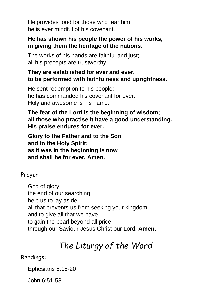He provides food for those who fear him; he is ever mindful of his covenant.

#### **He has shown his people the power of his works, in giving them the heritage of the nations.**

The works of his hands are faithful and just; all his precepts are trustworthy.

#### **They are established for ever and ever, to be performed with faithfulness and uprightness.**

He sent redemption to his people; he has commanded his covenant for ever. Holy and awesome is his name.

#### **The fear of the Lord is the beginning of wisdom; all those who practise it have a good understanding. His praise endures for ever.**

**Glory to the Father and to the Son and to the Holy Spirit; as it was in the beginning is now and shall be for ever. Amen.**

Prayer:

God of alory, the end of our searching, help us to lay aside all that prevents us from seeking your kingdom, and to give all that we have to gain the pearl beyond all price, through our Saviour Jesus Christ our Lord. **Amen.**

## *The Liturgy of the Word*

#### Readings:

Ephesians 5:15-20

John 6:51-58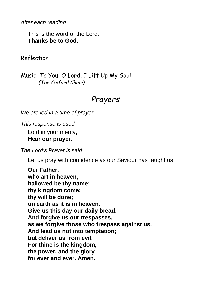*After each reading:*

This is the word of the Lord. **Thanks be to God.**

Reflection

Music: To You, O Lord, I Lift Up My Soul *(The Oxford Choir)*

### *Prayers*

*We are led in a time of prayer*

*This response is used:*

Lord in your mercy, **Hear our prayer.**

*The Lord's Prayer is said:*

Let us pray with confidence as our Saviour has taught us

**Our Father, who art in heaven, hallowed be thy name; thy kingdom come; thy will be done; on earth as it is in heaven. Give us this day our daily bread. And forgive us our trespasses, as we forgive those who trespass against us. And lead us not into temptation; but deliver us from evil. For thine is the kingdom, the power, and the glory for ever and ever. Amen.**